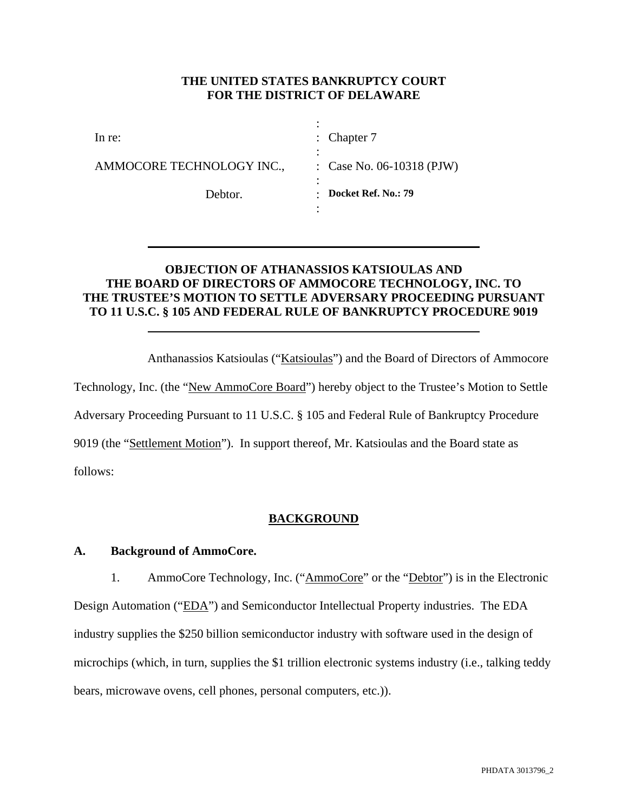### **THE UNITED STATES BANKRUPTCY COURT FOR THE DISTRICT OF DELAWARE**

| In re:                    | : Chapter $7$             |
|---------------------------|---------------------------|
| AMMOCORE TECHNOLOGY INC., | : Case No. 06-10318 (PJW) |
| Debtor.                   | Docket Ref. No.: 79       |

### **OBJECTION OF ATHANASSIOS KATSIOULAS AND THE BOARD OF DIRECTORS OF AMMOCORE TECHNOLOGY, INC. TO THE TRUSTEE'S MOTION TO SETTLE ADVERSARY PROCEEDING PURSUANT TO 11 U.S.C. § 105 AND FEDERAL RULE OF BANKRUPTCY PROCEDURE 9019**

Anthanassios Katsioulas ("Katsioulas") and the Board of Directors of Ammocore

Technology, Inc. (the "New AmmoCore Board") hereby object to the Trustee's Motion to Settle Adversary Proceeding Pursuant to 11 U.S.C. § 105 and Federal Rule of Bankruptcy Procedure 9019 (the "Settlement Motion"). In support thereof, Mr. Katsioulas and the Board state as

follows:

# **BACKGROUND**

### **A. Background of AmmoCore.**

1. AmmoCore Technology, Inc. ("AmmoCore" or the "Debtor") is in the Electronic Design Automation ("EDA") and Semiconductor Intellectual Property industries. The EDA industry supplies the \$250 billion semiconductor industry with software used in the design of microchips (which, in turn, supplies the \$1 trillion electronic systems industry (i.e., talking teddy bears, microwave ovens, cell phones, personal computers, etc.)).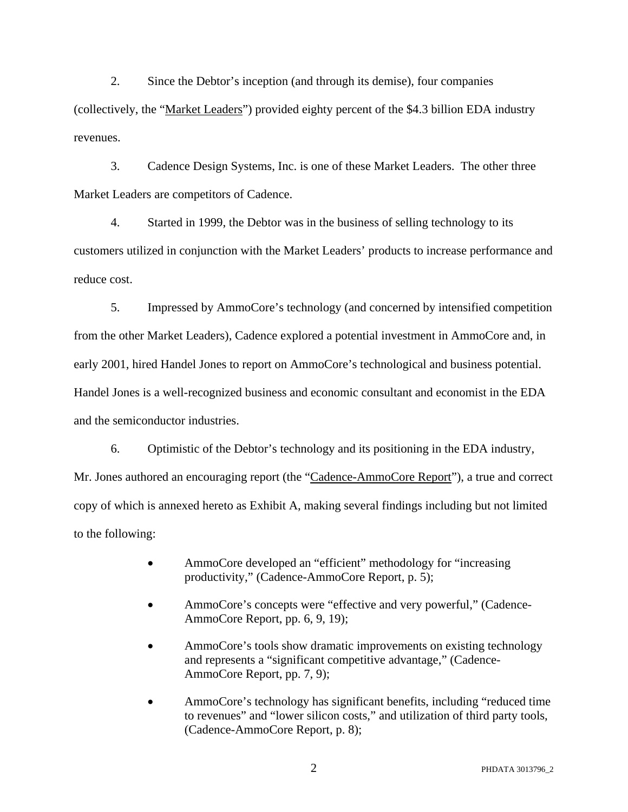2. Since the Debtor's inception (and through its demise), four companies (collectively, the "Market Leaders") provided eighty percent of the \$4.3 billion EDA industry revenues.

3. Cadence Design Systems, Inc. is one of these Market Leaders. The other three Market Leaders are competitors of Cadence.

4. Started in 1999, the Debtor was in the business of selling technology to its customers utilized in conjunction with the Market Leaders' products to increase performance and reduce cost.

5. Impressed by AmmoCore's technology (and concerned by intensified competition from the other Market Leaders), Cadence explored a potential investment in AmmoCore and, in early 2001, hired Handel Jones to report on AmmoCore's technological and business potential. Handel Jones is a well-recognized business and economic consultant and economist in the EDA and the semiconductor industries.

6. Optimistic of the Debtor's technology and its positioning in the EDA industry, Mr. Jones authored an encouraging report (the "Cadence-AmmoCore Report"), a true and correct copy of which is annexed hereto as Exhibit A, making several findings including but not limited to the following:

- AmmoCore developed an "efficient" methodology for "increasing productivity," (Cadence-AmmoCore Report, p. 5);
- AmmoCore's concepts were "effective and very powerful," (Cadence-AmmoCore Report, pp. 6, 9, 19);
- AmmoCore's tools show dramatic improvements on existing technology and represents a "significant competitive advantage," (Cadence-AmmoCore Report, pp. 7, 9);
- AmmoCore's technology has significant benefits, including "reduced time to revenues" and "lower silicon costs," and utilization of third party tools, (Cadence-AmmoCore Report, p. 8);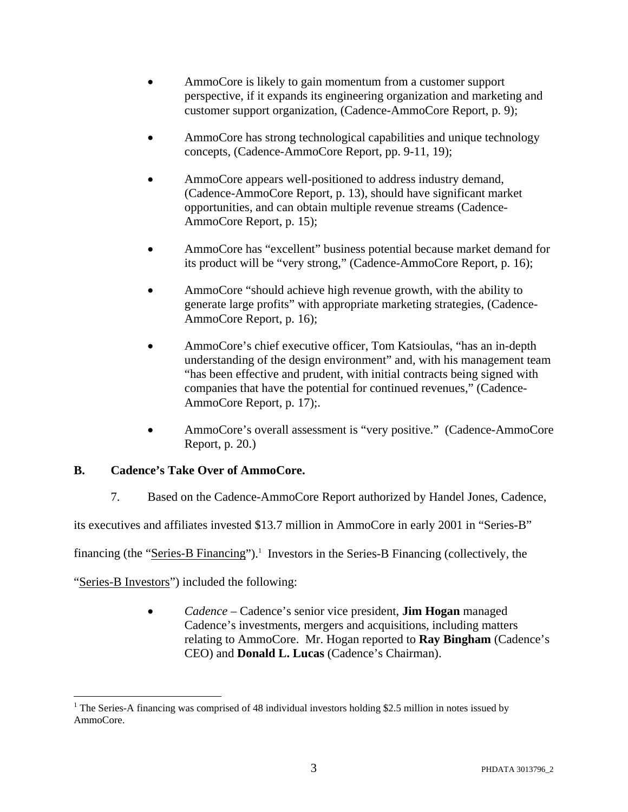- AmmoCore is likely to gain momentum from a customer support perspective, if it expands its engineering organization and marketing and customer support organization, (Cadence-AmmoCore Report, p. 9);
- AmmoCore has strong technological capabilities and unique technology concepts, (Cadence-AmmoCore Report, pp. 9-11, 19);
- AmmoCore appears well-positioned to address industry demand, (Cadence-AmmoCore Report, p. 13), should have significant market opportunities, and can obtain multiple revenue streams (Cadence-AmmoCore Report, p. 15);
- AmmoCore has "excellent" business potential because market demand for its product will be "very strong," (Cadence-AmmoCore Report, p. 16);
- AmmoCore "should achieve high revenue growth, with the ability to generate large profits" with appropriate marketing strategies, (Cadence-AmmoCore Report, p. 16);
- AmmoCore's chief executive officer, Tom Katsioulas, "has an in-depth understanding of the design environment" and, with his management team "has been effective and prudent, with initial contracts being signed with companies that have the potential for continued revenues," (Cadence-AmmoCore Report, p. 17);.
- AmmoCore's overall assessment is "very positive." (Cadence-AmmoCore Report, p. 20.)

# **B. Cadence's Take Over of AmmoCore.**

7. Based on the Cadence-AmmoCore Report authorized by Handel Jones, Cadence,

its executives and affiliates invested \$13.7 million in AmmoCore in early 2001 in "Series-B"

financing (the "Series-B Financing").<sup>1</sup> Investors in the Series-B Financing (collectively, the

"Series-B Investors") included the following:

 $\overline{a}$ 

• *Cadence* – Cadence's senior vice president, **Jim Hogan** managed Cadence's investments, mergers and acquisitions, including matters relating to AmmoCore. Mr. Hogan reported to **Ray Bingham** (Cadence's CEO) and **Donald L. Lucas** (Cadence's Chairman).

<sup>&</sup>lt;sup>1</sup> The Series-A financing was comprised of 48 individual investors holding \$2.5 million in notes issued by AmmoCore.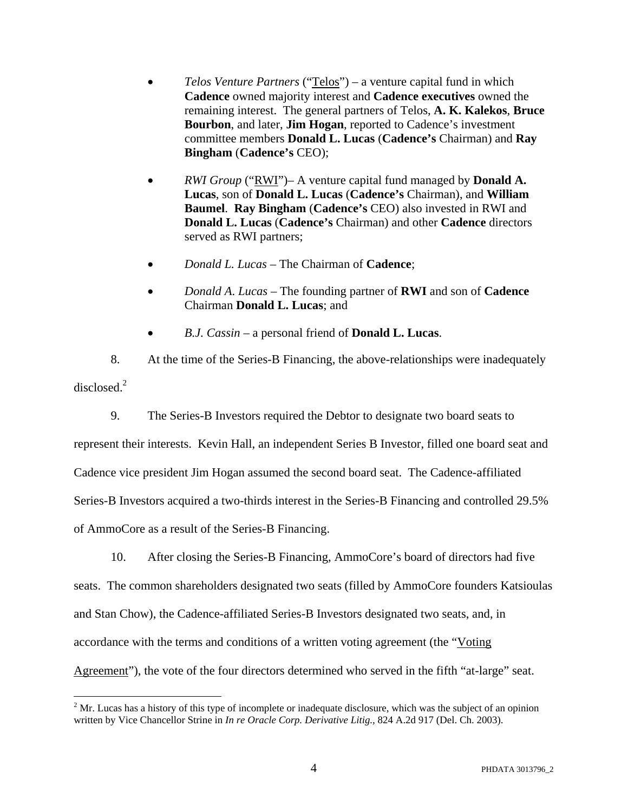- *Telos Venture Partners* ("Telos") a venture capital fund in which **Cadence** owned majority interest and **Cadence executives** owned the remaining interest. The general partners of Telos, **A. K. Kalekos**, **Bruce Bourbon**, and later, **Jim Hogan**, reported to Cadence's investment committee members **Donald L. Lucas** (**Cadence's** Chairman) and **Ray Bingham** (**Cadence's** CEO);
- *RWI Group* ("RWI")– A venture capital fund managed by **Donald A. Lucas**, son of **Donald L. Lucas** (**Cadence's** Chairman), and **William Baumel**. **Ray Bingham** (**Cadence's** CEO) also invested in RWI and **Donald L. Lucas** (**Cadence's** Chairman) and other **Cadence** directors served as RWI partners;
- *Donald L. Lucas* The Chairman of **Cadence**;
- *Donald A*. *Lucas* The founding partner of **RWI** and son of **Cadence** Chairman **Donald L. Lucas**; and
- *B.J. Cassin*  a personal friend of **Donald L. Lucas**.

8. At the time of the Series-B Financing, the above-relationships were inadequately disclosed. $2$ 

9. The Series-B Investors required the Debtor to designate two board seats to

represent their interests. Kevin Hall, an independent Series B Investor, filled one board seat and Cadence vice president Jim Hogan assumed the second board seat. The Cadence-affiliated Series-B Investors acquired a two-thirds interest in the Series-B Financing and controlled 29.5% of AmmoCore as a result of the Series-B Financing.

10. After closing the Series-B Financing, AmmoCore's board of directors had five seats. The common shareholders designated two seats (filled by AmmoCore founders Katsioulas and Stan Chow), the Cadence-affiliated Series-B Investors designated two seats, and, in accordance with the terms and conditions of a written voting agreement (the "Voting Agreement"), the vote of the four directors determined who served in the fifth "at-large" seat.

 $\overline{a}$ 

 $2<sup>2</sup>$  Mr. Lucas has a history of this type of incomplete or inadequate disclosure, which was the subject of an opinion written by Vice Chancellor Strine in *In re Oracle Corp. Derivative Litig.*, 824 A.2d 917 (Del. Ch. 2003).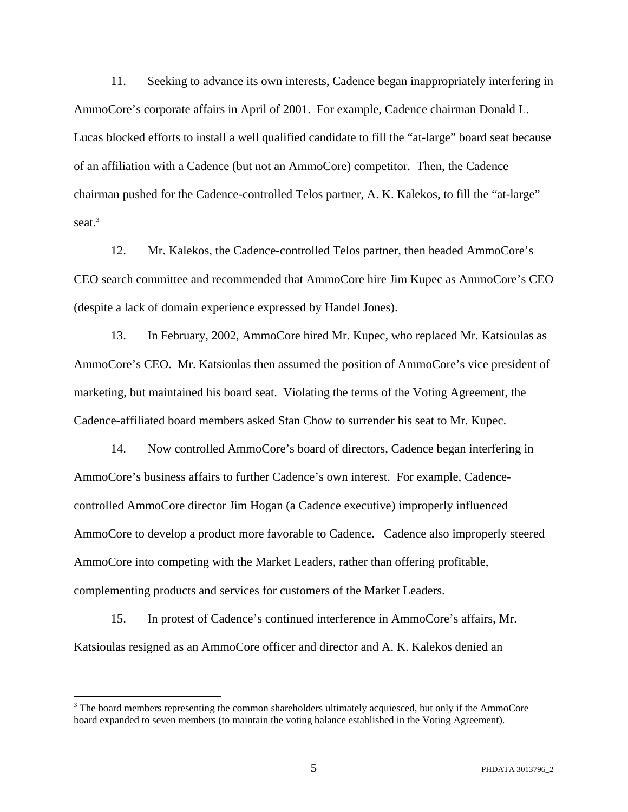11. Seeking to advance its own interests, Cadence began inappropriately interfering in AmmoCore's corporate affairs in April of 2001. For example, Cadence chairman Donald L. Lucas blocked efforts to install a well qualified candidate to fill the "at-large" board seat because of an affiliation with a Cadence (but not an AmmoCore) competitor. Then, the Cadence chairman pushed for the Cadence-controlled Telos partner, A. K. Kalekos, to fill the "at-large" seat.<sup>3</sup>

12. Mr. Kalekos, the Cadence-controlled Telos partner, then headed AmmoCore's CEO search committee and recommended that AmmoCore hire Jim Kupec as AmmoCore's CEO (despite a lack of domain experience expressed by Handel Jones).

13. In February, 2002, AmmoCore hired Mr. Kupec, who replaced Mr. Katsioulas as AmmoCore's CEO. Mr. Katsioulas then assumed the position of AmmoCore's vice president of marketing, but maintained his board seat. Violating the terms of the Voting Agreement, the Cadence-affiliated board members asked Stan Chow to surrender his seat to Mr. Kupec.

14. Now controlled AmmoCore's board of directors, Cadence began interfering in AmmoCore's business affairs to further Cadence's own interest. For example, Cadencecontrolled AmmoCore director Jim Hogan (a Cadence executive) improperly influenced AmmoCore to develop a product more favorable to Cadence. Cadence also improperly steered AmmoCore into competing with the Market Leaders, rather than offering profitable, complementing products and services for customers of the Market Leaders.

15. In protest of Cadence's continued interference in AmmoCore's affairs, Mr. Katsioulas resigned as an AmmoCore officer and director and A. K. Kalekos denied an

 $\overline{a}$ 

 $3$  The board members representing the common shareholders ultimately acquiesced, but only if the AmmoCore board expanded to seven members (to maintain the voting balance established in the Voting Agreement).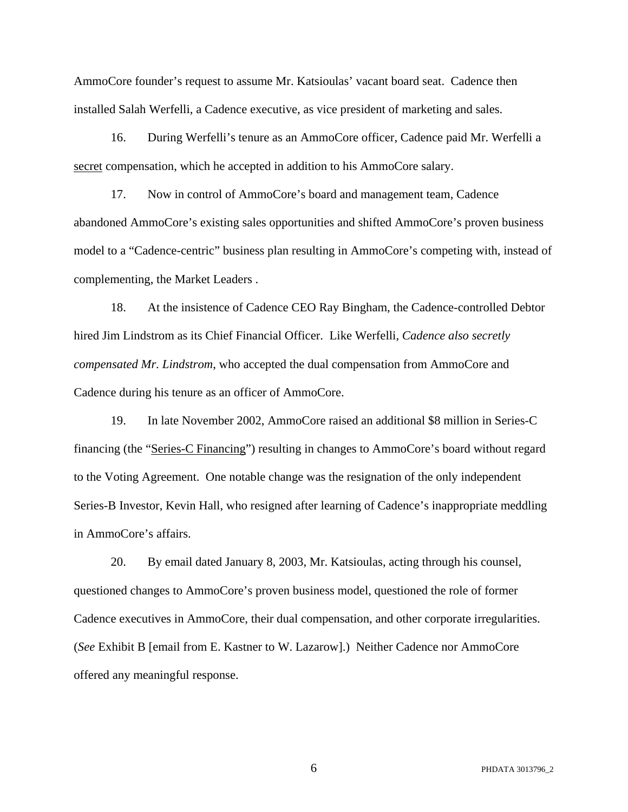AmmoCore founder's request to assume Mr. Katsioulas' vacant board seat. Cadence then installed Salah Werfelli, a Cadence executive, as vice president of marketing and sales.

16. During Werfelli's tenure as an AmmoCore officer, Cadence paid Mr. Werfelli a secret compensation, which he accepted in addition to his AmmoCore salary.

17. Now in control of AmmoCore's board and management team, Cadence abandoned AmmoCore's existing sales opportunities and shifted AmmoCore's proven business model to a "Cadence-centric" business plan resulting in AmmoCore's competing with, instead of complementing, the Market Leaders .

18. At the insistence of Cadence CEO Ray Bingham, the Cadence-controlled Debtor hired Jim Lindstrom as its Chief Financial Officer. Like Werfelli, *Cadence also secretly compensated Mr. Lindstrom*, who accepted the dual compensation from AmmoCore and Cadence during his tenure as an officer of AmmoCore.

19. In late November 2002, AmmoCore raised an additional \$8 million in Series-C financing (the "Series-C Financing") resulting in changes to AmmoCore's board without regard to the Voting Agreement. One notable change was the resignation of the only independent Series-B Investor, Kevin Hall, who resigned after learning of Cadence's inappropriate meddling in AmmoCore's affairs.

20. By email dated January 8, 2003, Mr. Katsioulas, acting through his counsel, questioned changes to AmmoCore's proven business model, questioned the role of former Cadence executives in AmmoCore, their dual compensation, and other corporate irregularities. (*See* Exhibit B [email from E. Kastner to W. Lazarow].) Neither Cadence nor AmmoCore offered any meaningful response.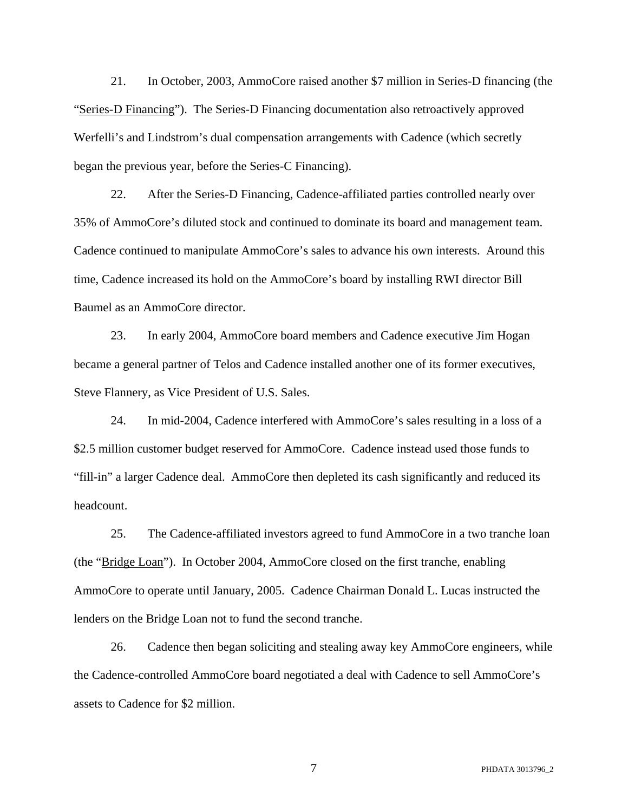21. In October, 2003, AmmoCore raised another \$7 million in Series-D financing (the "Series-D Financing"). The Series-D Financing documentation also retroactively approved Werfelli's and Lindstrom's dual compensation arrangements with Cadence (which secretly began the previous year, before the Series-C Financing).

22. After the Series-D Financing, Cadence-affiliated parties controlled nearly over 35% of AmmoCore's diluted stock and continued to dominate its board and management team. Cadence continued to manipulate AmmoCore's sales to advance his own interests. Around this time, Cadence increased its hold on the AmmoCore's board by installing RWI director Bill Baumel as an AmmoCore director.

23. In early 2004, AmmoCore board members and Cadence executive Jim Hogan became a general partner of Telos and Cadence installed another one of its former executives, Steve Flannery, as Vice President of U.S. Sales.

24. In mid-2004, Cadence interfered with AmmoCore's sales resulting in a loss of a \$2.5 million customer budget reserved for AmmoCore. Cadence instead used those funds to "fill-in" a larger Cadence deal. AmmoCore then depleted its cash significantly and reduced its headcount.

25. The Cadence-affiliated investors agreed to fund AmmoCore in a two tranche loan (the "Bridge Loan"). In October 2004, AmmoCore closed on the first tranche, enabling AmmoCore to operate until January, 2005. Cadence Chairman Donald L. Lucas instructed the lenders on the Bridge Loan not to fund the second tranche.

26. Cadence then began soliciting and stealing away key AmmoCore engineers, while the Cadence-controlled AmmoCore board negotiated a deal with Cadence to sell AmmoCore's assets to Cadence for \$2 million.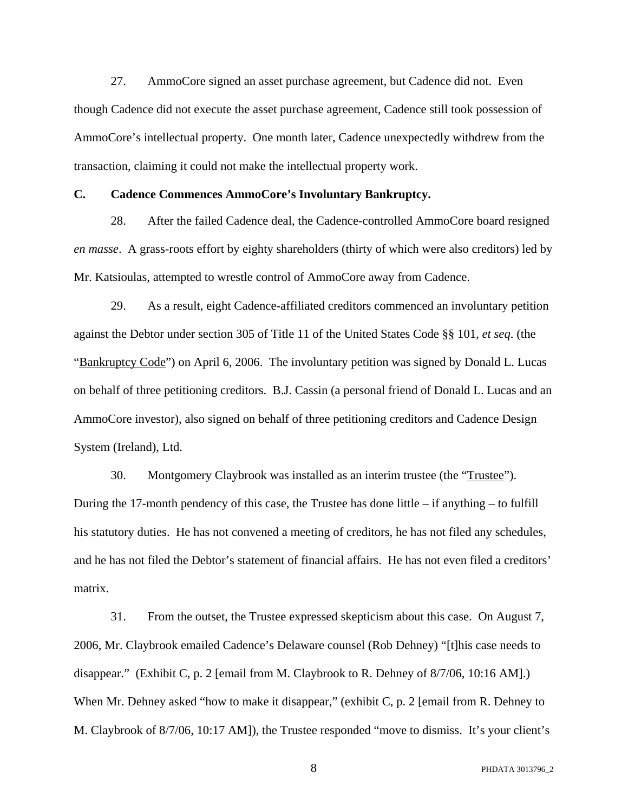27. AmmoCore signed an asset purchase agreement, but Cadence did not. Even though Cadence did not execute the asset purchase agreement, Cadence still took possession of AmmoCore's intellectual property. One month later, Cadence unexpectedly withdrew from the transaction, claiming it could not make the intellectual property work.

#### **C. Cadence Commences AmmoCore's Involuntary Bankruptcy.**

28. After the failed Cadence deal, the Cadence-controlled AmmoCore board resigned *en masse*. A grass-roots effort by eighty shareholders (thirty of which were also creditors) led by Mr. Katsioulas, attempted to wrestle control of AmmoCore away from Cadence.

29. As a result, eight Cadence-affiliated creditors commenced an involuntary petition against the Debtor under section 305 of Title 11 of the United States Code §§ 101, *et seq*. (the "Bankruptcy Code") on April 6, 2006. The involuntary petition was signed by Donald L. Lucas on behalf of three petitioning creditors. B.J. Cassin (a personal friend of Donald L. Lucas and an AmmoCore investor), also signed on behalf of three petitioning creditors and Cadence Design System (Ireland), Ltd.

30. Montgomery Claybrook was installed as an interim trustee (the "Trustee"). During the 17-month pendency of this case, the Trustee has done little – if anything – to fulfill his statutory duties. He has not convened a meeting of creditors, he has not filed any schedules, and he has not filed the Debtor's statement of financial affairs. He has not even filed a creditors' matrix.

31. From the outset, the Trustee expressed skepticism about this case. On August 7, 2006, Mr. Claybrook emailed Cadence's Delaware counsel (Rob Dehney) "[t]his case needs to disappear." (Exhibit C, p. 2 [email from M. Claybrook to R. Dehney of 8/7/06, 10:16 AM].) When Mr. Dehney asked "how to make it disappear," (exhibit C, p. 2 [email from R. Dehney to M. Claybrook of 8/7/06, 10:17 AM]), the Trustee responded "move to dismiss. It's your client's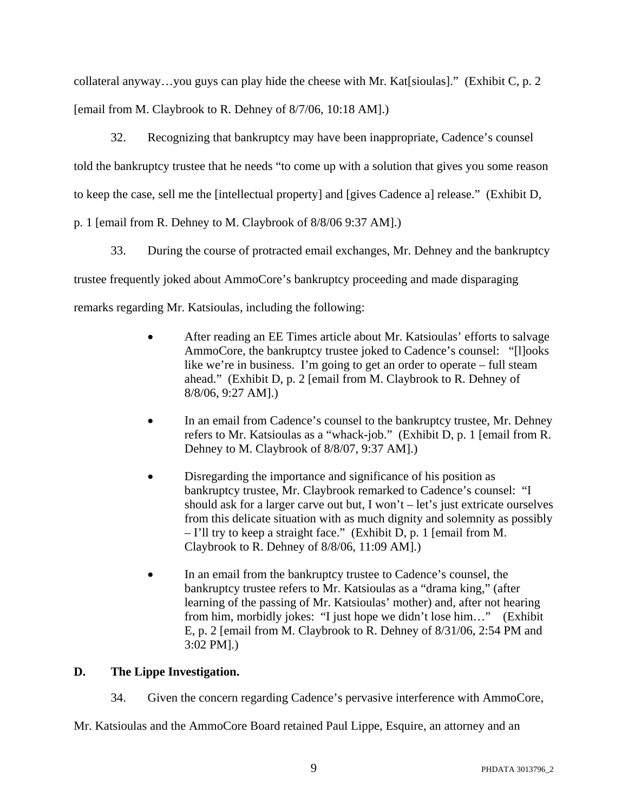collateral anyway…you guys can play hide the cheese with Mr. Kat[sioulas]." (Exhibit C, p. 2 [email from M. Claybrook to R. Dehney of 8/7/06, 10:18 AM].)

32. Recognizing that bankruptcy may have been inappropriate, Cadence's counsel told the bankruptcy trustee that he needs "to come up with a solution that gives you some reason to keep the case, sell me the [intellectual property] and [gives Cadence a] release." (Exhibit D,

p. 1 [email from R. Dehney to M. Claybrook of 8/8/06 9:37 AM].)

33. During the course of protracted email exchanges, Mr. Dehney and the bankruptcy trustee frequently joked about AmmoCore's bankruptcy proceeding and made disparaging remarks regarding Mr. Katsioulas, including the following:

- After reading an EE Times article about Mr. Katsioulas' efforts to salvage AmmoCore, the bankruptcy trustee joked to Cadence's counsel: "[l]ooks like we're in business. I'm going to get an order to operate – full steam ahead." (Exhibit D, p. 2 [email from M. Claybrook to R. Dehney of 8/8/06, 9:27 AM].)
- In an email from Cadence's counsel to the bankruptcy trustee, Mr. Dehney refers to Mr. Katsioulas as a "whack-job." (Exhibit D, p. 1 [email from R. Dehney to M. Claybrook of 8/8/07, 9:37 AM].)
- Disregarding the importance and significance of his position as bankruptcy trustee, Mr. Claybrook remarked to Cadence's counsel: "I should ask for a larger carve out but, I won't – let's just extricate ourselves from this delicate situation with as much dignity and solemnity as possibly – I'll try to keep a straight face." (Exhibit D, p. 1 [email from M. Claybrook to R. Dehney of 8/8/06, 11:09 AM].)
- In an email from the bankruptcy trustee to Cadence's counsel, the bankruptcy trustee refers to Mr. Katsioulas as a "drama king," (after learning of the passing of Mr. Katsioulas' mother) and, after not hearing from him, morbidly jokes: "I just hope we didn't lose him…" (Exhibit E, p. 2 [email from M. Claybrook to R. Dehney of 8/31/06, 2:54 PM and 3:02 PM].)

# **D. The Lippe Investigation.**

34. Given the concern regarding Cadence's pervasive interference with AmmoCore,

Mr. Katsioulas and the AmmoCore Board retained Paul Lippe, Esquire, an attorney and an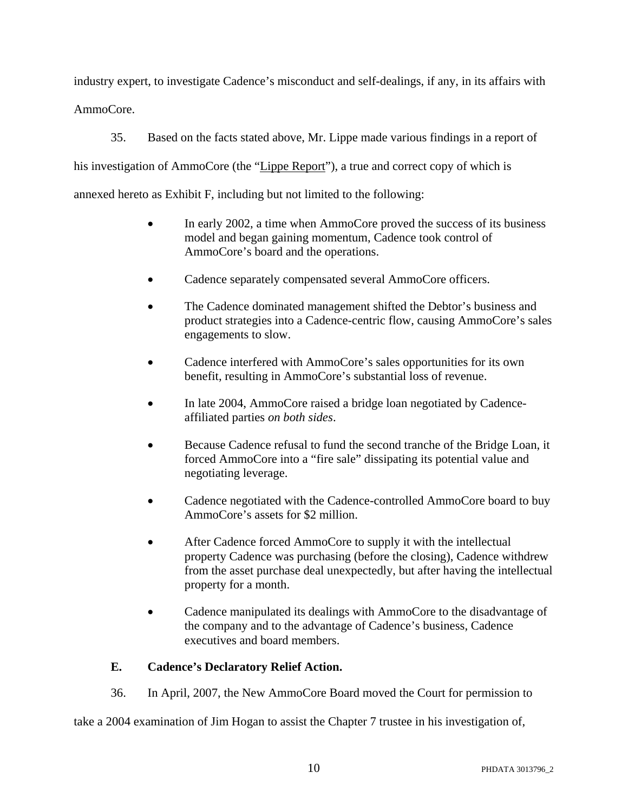industry expert, to investigate Cadence's misconduct and self-dealings, if any, in its affairs with AmmoCore.

35. Based on the facts stated above, Mr. Lippe made various findings in a report of his investigation of AmmoCore (the "Lippe Report"), a true and correct copy of which is annexed hereto as Exhibit F, including but not limited to the following:

- In early 2002, a time when AmmoCore proved the success of its business model and began gaining momentum, Cadence took control of AmmoCore's board and the operations.
- Cadence separately compensated several AmmoCore officers.
- The Cadence dominated management shifted the Debtor's business and product strategies into a Cadence-centric flow, causing AmmoCore's sales engagements to slow.
- Cadence interfered with AmmoCore's sales opportunities for its own benefit, resulting in AmmoCore's substantial loss of revenue.
- In late 2004, AmmoCore raised a bridge loan negotiated by Cadenceaffiliated parties *on both sides*.
- Because Cadence refusal to fund the second tranche of the Bridge Loan, it forced AmmoCore into a "fire sale" dissipating its potential value and negotiating leverage.
- Cadence negotiated with the Cadence-controlled AmmoCore board to buy AmmoCore's assets for \$2 million.
- After Cadence forced AmmoCore to supply it with the intellectual property Cadence was purchasing (before the closing), Cadence withdrew from the asset purchase deal unexpectedly, but after having the intellectual property for a month.
- Cadence manipulated its dealings with AmmoCore to the disadvantage of the company and to the advantage of Cadence's business, Cadence executives and board members.

# **E. Cadence's Declaratory Relief Action.**

36. In April, 2007, the New AmmoCore Board moved the Court for permission to

take a 2004 examination of Jim Hogan to assist the Chapter 7 trustee in his investigation of,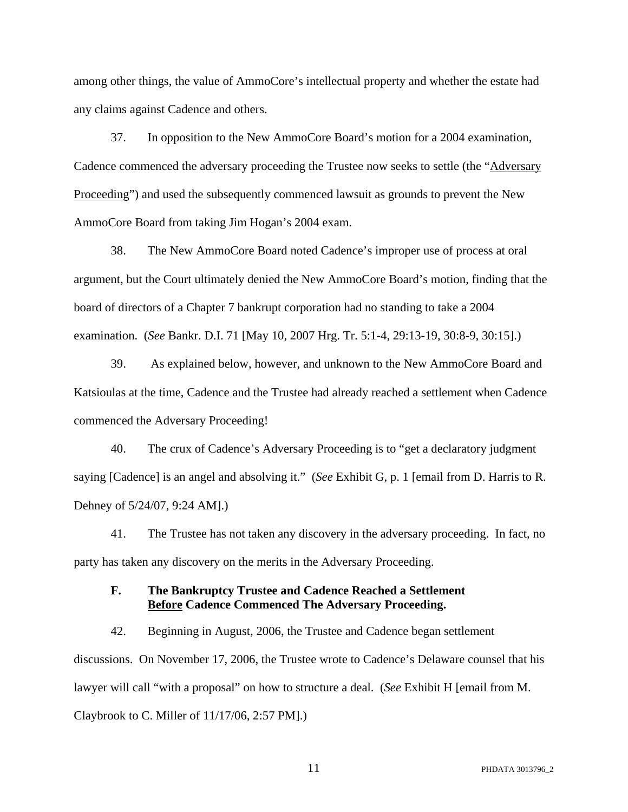among other things, the value of AmmoCore's intellectual property and whether the estate had any claims against Cadence and others.

37. In opposition to the New AmmoCore Board's motion for a 2004 examination, Cadence commenced the adversary proceeding the Trustee now seeks to settle (the "Adversary Proceeding") and used the subsequently commenced lawsuit as grounds to prevent the New AmmoCore Board from taking Jim Hogan's 2004 exam.

38. The New AmmoCore Board noted Cadence's improper use of process at oral argument, but the Court ultimately denied the New AmmoCore Board's motion, finding that the board of directors of a Chapter 7 bankrupt corporation had no standing to take a 2004 examination. (*See* Bankr. D.I. 71 [May 10, 2007 Hrg. Tr. 5:1-4, 29:13-19, 30:8-9, 30:15].)

39. As explained below, however, and unknown to the New AmmoCore Board and Katsioulas at the time, Cadence and the Trustee had already reached a settlement when Cadence commenced the Adversary Proceeding!

40. The crux of Cadence's Adversary Proceeding is to "get a declaratory judgment saying [Cadence] is an angel and absolving it." (*See* Exhibit G, p. 1 [email from D. Harris to R. Dehney of 5/24/07, 9:24 AM].)

41. The Trustee has not taken any discovery in the adversary proceeding. In fact, no party has taken any discovery on the merits in the Adversary Proceeding.

## **F. The Bankruptcy Trustee and Cadence Reached a Settlement Before Cadence Commenced The Adversary Proceeding.**

42. Beginning in August, 2006, the Trustee and Cadence began settlement discussions. On November 17, 2006, the Trustee wrote to Cadence's Delaware counsel that his lawyer will call "with a proposal" on how to structure a deal. (*See* Exhibit H [email from M. Claybrook to C. Miller of 11/17/06, 2:57 PM].)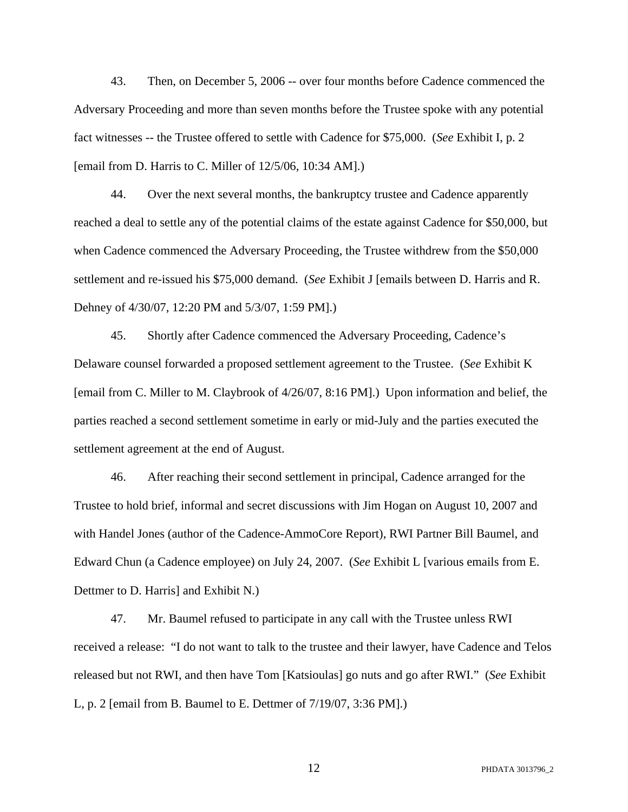43. Then, on December 5, 2006 -- over four months before Cadence commenced the Adversary Proceeding and more than seven months before the Trustee spoke with any potential fact witnesses -- the Trustee offered to settle with Cadence for \$75,000. (*See* Exhibit I, p. 2 [email from D. Harris to C. Miller of 12/5/06, 10:34 AM].)

44. Over the next several months, the bankruptcy trustee and Cadence apparently reached a deal to settle any of the potential claims of the estate against Cadence for \$50,000, but when Cadence commenced the Adversary Proceeding, the Trustee withdrew from the \$50,000 settlement and re-issued his \$75,000 demand. (*See* Exhibit J [emails between D. Harris and R. Dehney of 4/30/07, 12:20 PM and 5/3/07, 1:59 PM].)

45. Shortly after Cadence commenced the Adversary Proceeding, Cadence's Delaware counsel forwarded a proposed settlement agreement to the Trustee. (*See* Exhibit K [email from C. Miller to M. Claybrook of 4/26/07, 8:16 PM].) Upon information and belief, the parties reached a second settlement sometime in early or mid-July and the parties executed the settlement agreement at the end of August.

46. After reaching their second settlement in principal, Cadence arranged for the Trustee to hold brief, informal and secret discussions with Jim Hogan on August 10, 2007 and with Handel Jones (author of the Cadence-AmmoCore Report), RWI Partner Bill Baumel, and Edward Chun (a Cadence employee) on July 24, 2007. (*See* Exhibit L [various emails from E. Dettmer to D. Harris] and Exhibit N.)

47. Mr. Baumel refused to participate in any call with the Trustee unless RWI received a release: "I do not want to talk to the trustee and their lawyer, have Cadence and Telos released but not RWI, and then have Tom [Katsioulas] go nuts and go after RWI." (*See* Exhibit L, p. 2 [email from B. Baumel to E. Dettmer of 7/19/07, 3:36 PM].)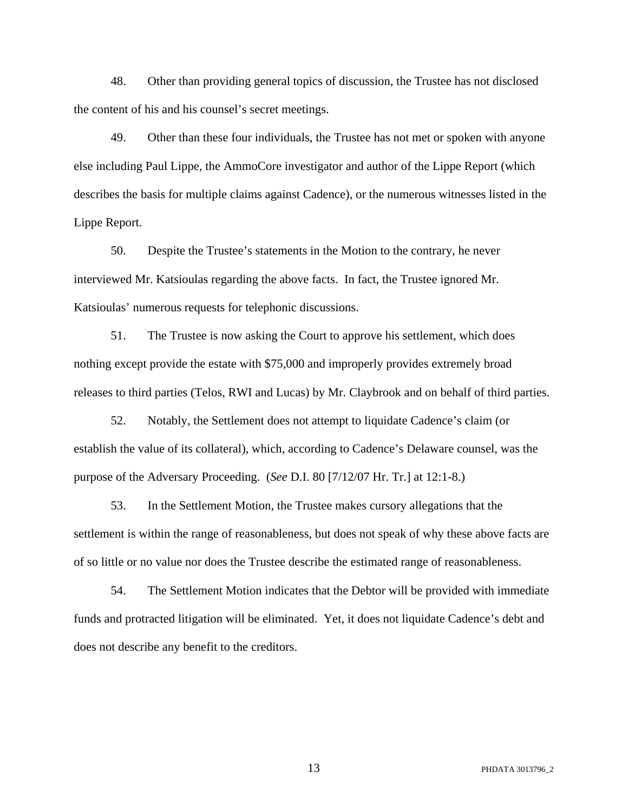48. Other than providing general topics of discussion, the Trustee has not disclosed the content of his and his counsel's secret meetings.

49. Other than these four individuals, the Trustee has not met or spoken with anyone else including Paul Lippe, the AmmoCore investigator and author of the Lippe Report (which describes the basis for multiple claims against Cadence), or the numerous witnesses listed in the Lippe Report.

50. Despite the Trustee's statements in the Motion to the contrary, he never interviewed Mr. Katsioulas regarding the above facts. In fact, the Trustee ignored Mr. Katsioulas' numerous requests for telephonic discussions.

51. The Trustee is now asking the Court to approve his settlement, which does nothing except provide the estate with \$75,000 and improperly provides extremely broad releases to third parties (Telos, RWI and Lucas) by Mr. Claybrook and on behalf of third parties.

52. Notably, the Settlement does not attempt to liquidate Cadence's claim (or establish the value of its collateral), which, according to Cadence's Delaware counsel, was the purpose of the Adversary Proceeding. (*See* D.I. 80 [7/12/07 Hr. Tr.] at 12:1-8.)

53. In the Settlement Motion, the Trustee makes cursory allegations that the settlement is within the range of reasonableness, but does not speak of why these above facts are of so little or no value nor does the Trustee describe the estimated range of reasonableness.

54. The Settlement Motion indicates that the Debtor will be provided with immediate funds and protracted litigation will be eliminated. Yet, it does not liquidate Cadence's debt and does not describe any benefit to the creditors.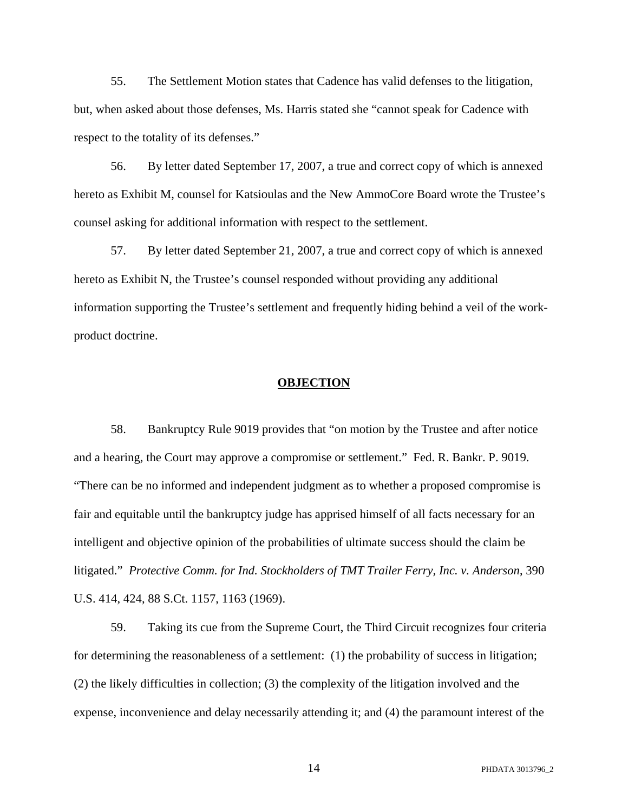55. The Settlement Motion states that Cadence has valid defenses to the litigation, but, when asked about those defenses, Ms. Harris stated she "cannot speak for Cadence with respect to the totality of its defenses."

56. By letter dated September 17, 2007, a true and correct copy of which is annexed hereto as Exhibit M, counsel for Katsioulas and the New AmmoCore Board wrote the Trustee's counsel asking for additional information with respect to the settlement.

57. By letter dated September 21, 2007, a true and correct copy of which is annexed hereto as Exhibit N, the Trustee's counsel responded without providing any additional information supporting the Trustee's settlement and frequently hiding behind a veil of the workproduct doctrine.

#### **OBJECTION**

58. Bankruptcy Rule 9019 provides that "on motion by the Trustee and after notice and a hearing, the Court may approve a compromise or settlement." Fed. R. Bankr. P. 9019. "There can be no informed and independent judgment as to whether a proposed compromise is fair and equitable until the bankruptcy judge has apprised himself of all facts necessary for an intelligent and objective opinion of the probabilities of ultimate success should the claim be litigated." *Protective Comm. for Ind. Stockholders of TMT Trailer Ferry, Inc. v. Anderson*, 390 U.S. 414, 424, 88 S.Ct. 1157, 1163 (1969).

59. Taking its cue from the Supreme Court, the Third Circuit recognizes four criteria for determining the reasonableness of a settlement: (1) the probability of success in litigation; (2) the likely difficulties in collection; (3) the complexity of the litigation involved and the expense, inconvenience and delay necessarily attending it; and (4) the paramount interest of the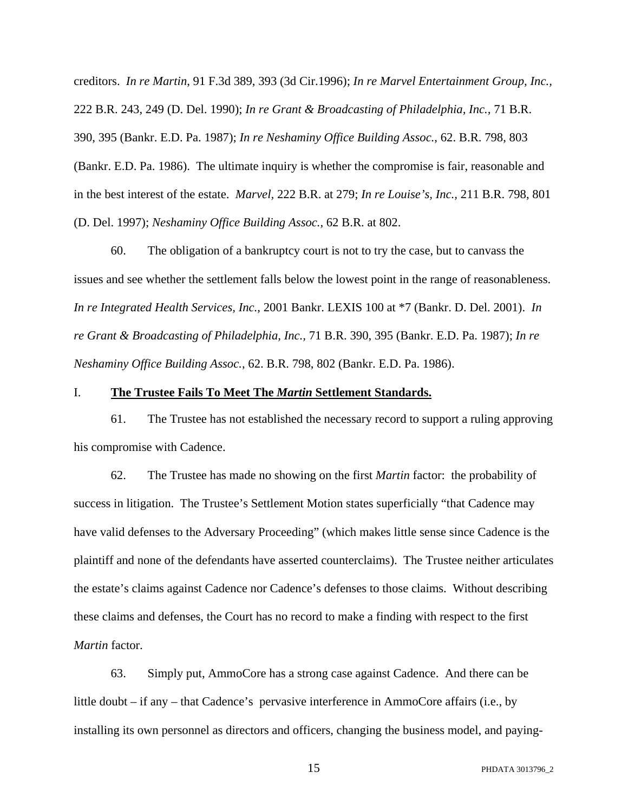creditors. *In re Martin*, 91 F.3d 389, 393 (3d Cir.1996); *In re Marvel Entertainment Group, Inc.,* 222 B.R. 243, 249 (D. Del. 1990); *In re Grant & Broadcasting of Philadelphia, Inc.,* 71 B.R. 390, 395 (Bankr. E.D. Pa. 1987); *In re Neshaminy Office Building Assoc.*, 62. B.R. 798, 803 (Bankr. E.D. Pa. 1986). The ultimate inquiry is whether the compromise is fair, reasonable and in the best interest of the estate. *Marvel,* 222 B.R. at 279; *In re Louise's, Inc.,* 211 B.R. 798, 801 (D. Del. 1997); *Neshaminy Office Building Assoc.,* 62 B.R. at 802.

60. The obligation of a bankruptcy court is not to try the case, but to canvass the issues and see whether the settlement falls below the lowest point in the range of reasonableness. *In re Integrated Health Services, Inc.*, 2001 Bankr. LEXIS 100 at \*7 (Bankr. D. Del. 2001). *In re Grant & Broadcasting of Philadelphia, Inc.,* 71 B.R. 390, 395 (Bankr. E.D. Pa. 1987); *In re Neshaminy Office Building Assoc.*, 62. B.R. 798, 802 (Bankr. E.D. Pa. 1986).

#### I. **The Trustee Fails To Meet The** *Martin* **Settlement Standards.**

61. The Trustee has not established the necessary record to support a ruling approving his compromise with Cadence.

62. The Trustee has made no showing on the first *Martin* factor: the probability of success in litigation. The Trustee's Settlement Motion states superficially "that Cadence may have valid defenses to the Adversary Proceeding" (which makes little sense since Cadence is the plaintiff and none of the defendants have asserted counterclaims). The Trustee neither articulates the estate's claims against Cadence nor Cadence's defenses to those claims. Without describing these claims and defenses, the Court has no record to make a finding with respect to the first *Martin* factor.

63. Simply put, AmmoCore has a strong case against Cadence. And there can be little doubt – if any – that Cadence's pervasive interference in AmmoCore affairs (i.e., by installing its own personnel as directors and officers, changing the business model, and paying-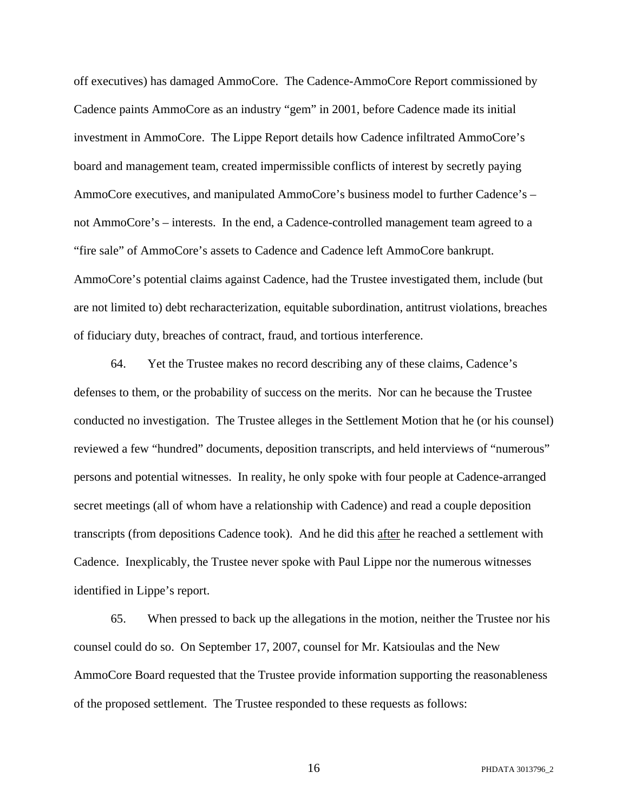off executives) has damaged AmmoCore. The Cadence-AmmoCore Report commissioned by Cadence paints AmmoCore as an industry "gem" in 2001, before Cadence made its initial investment in AmmoCore. The Lippe Report details how Cadence infiltrated AmmoCore's board and management team, created impermissible conflicts of interest by secretly paying AmmoCore executives, and manipulated AmmoCore's business model to further Cadence's – not AmmoCore's – interests. In the end, a Cadence-controlled management team agreed to a "fire sale" of AmmoCore's assets to Cadence and Cadence left AmmoCore bankrupt. AmmoCore's potential claims against Cadence, had the Trustee investigated them, include (but are not limited to) debt recharacterization, equitable subordination, antitrust violations, breaches of fiduciary duty, breaches of contract, fraud, and tortious interference.

64. Yet the Trustee makes no record describing any of these claims, Cadence's defenses to them, or the probability of success on the merits. Nor can he because the Trustee conducted no investigation. The Trustee alleges in the Settlement Motion that he (or his counsel) reviewed a few "hundred" documents, deposition transcripts, and held interviews of "numerous" persons and potential witnesses. In reality, he only spoke with four people at Cadence-arranged secret meetings (all of whom have a relationship with Cadence) and read a couple deposition transcripts (from depositions Cadence took). And he did this after he reached a settlement with Cadence. Inexplicably, the Trustee never spoke with Paul Lippe nor the numerous witnesses identified in Lippe's report.

65. When pressed to back up the allegations in the motion, neither the Trustee nor his counsel could do so. On September 17, 2007, counsel for Mr. Katsioulas and the New AmmoCore Board requested that the Trustee provide information supporting the reasonableness of the proposed settlement. The Trustee responded to these requests as follows: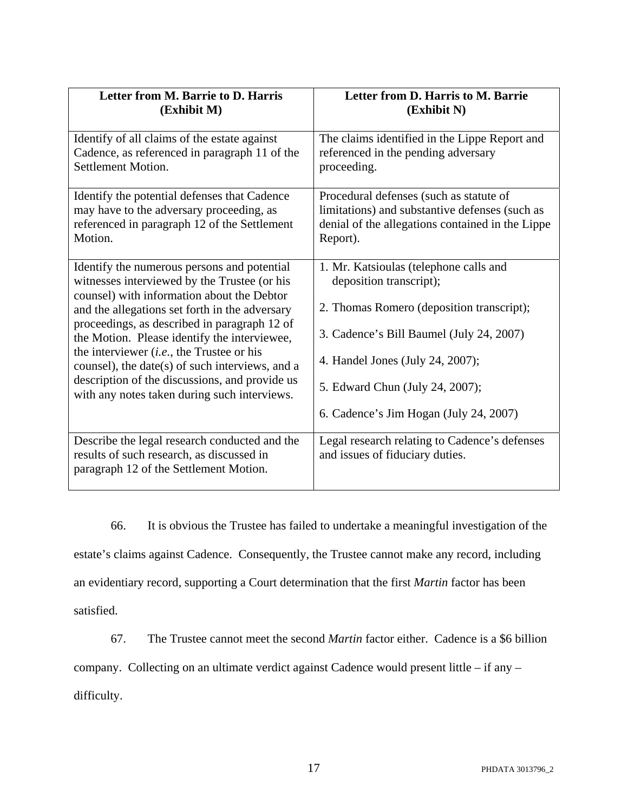| Letter from M. Barrie to D. Harris                                                                                                                                                                                                                                                                                                                                                                                                                                                              | Letter from D. Harris to M. Barrie                                                                                                                                                                                                                                          |
|-------------------------------------------------------------------------------------------------------------------------------------------------------------------------------------------------------------------------------------------------------------------------------------------------------------------------------------------------------------------------------------------------------------------------------------------------------------------------------------------------|-----------------------------------------------------------------------------------------------------------------------------------------------------------------------------------------------------------------------------------------------------------------------------|
| (Exhibit M)                                                                                                                                                                                                                                                                                                                                                                                                                                                                                     | (Exhibit N)                                                                                                                                                                                                                                                                 |
| Identify of all claims of the estate against                                                                                                                                                                                                                                                                                                                                                                                                                                                    | The claims identified in the Lippe Report and                                                                                                                                                                                                                               |
| Cadence, as referenced in paragraph 11 of the                                                                                                                                                                                                                                                                                                                                                                                                                                                   | referenced in the pending adversary                                                                                                                                                                                                                                         |
| Settlement Motion.                                                                                                                                                                                                                                                                                                                                                                                                                                                                              | proceeding.                                                                                                                                                                                                                                                                 |
| Identify the potential defenses that Cadence                                                                                                                                                                                                                                                                                                                                                                                                                                                    | Procedural defenses (such as statute of                                                                                                                                                                                                                                     |
| may have to the adversary proceeding, as                                                                                                                                                                                                                                                                                                                                                                                                                                                        | limitations) and substantive defenses (such as                                                                                                                                                                                                                              |
| referenced in paragraph 12 of the Settlement                                                                                                                                                                                                                                                                                                                                                                                                                                                    | denial of the allegations contained in the Lippe                                                                                                                                                                                                                            |
| Motion.                                                                                                                                                                                                                                                                                                                                                                                                                                                                                         | Report).                                                                                                                                                                                                                                                                    |
| Identify the numerous persons and potential<br>witnesses interviewed by the Trustee (or his<br>counsel) with information about the Debtor<br>and the allegations set forth in the adversary<br>proceedings, as described in paragraph 12 of<br>the Motion. Please identify the interviewee,<br>the interviewer $(i.e.,$ the Trustee or his<br>counsel), the date(s) of such interviews, and a<br>description of the discussions, and provide us<br>with any notes taken during such interviews. | 1. Mr. Katsioulas (telephone calls and<br>deposition transcript);<br>2. Thomas Romero (deposition transcript);<br>3. Cadence's Bill Baumel (July 24, 2007)<br>4. Handel Jones (July 24, 2007);<br>5. Edward Chun (July 24, 2007);<br>6. Cadence's Jim Hogan (July 24, 2007) |
| Describe the legal research conducted and the<br>results of such research, as discussed in<br>paragraph 12 of the Settlement Motion.                                                                                                                                                                                                                                                                                                                                                            | Legal research relating to Cadence's defenses<br>and issues of fiduciary duties.                                                                                                                                                                                            |

66. It is obvious the Trustee has failed to undertake a meaningful investigation of the estate's claims against Cadence. Consequently, the Trustee cannot make any record, including an evidentiary record, supporting a Court determination that the first *Martin* factor has been satisfied.

67. The Trustee cannot meet the second *Martin* factor either. Cadence is a \$6 billion company. Collecting on an ultimate verdict against Cadence would present little – if any – difficulty.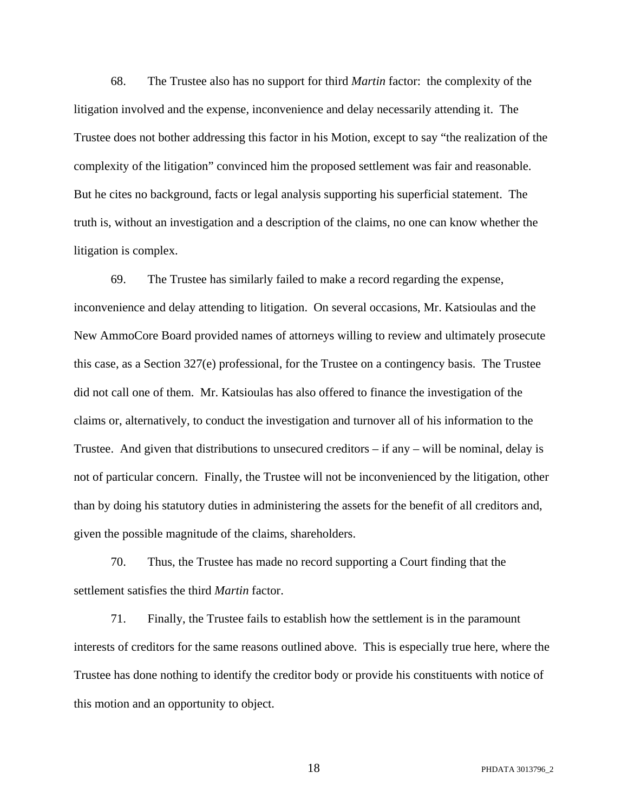68. The Trustee also has no support for third *Martin* factor: the complexity of the litigation involved and the expense, inconvenience and delay necessarily attending it. The Trustee does not bother addressing this factor in his Motion, except to say "the realization of the complexity of the litigation" convinced him the proposed settlement was fair and reasonable. But he cites no background, facts or legal analysis supporting his superficial statement. The truth is, without an investigation and a description of the claims, no one can know whether the litigation is complex.

69. The Trustee has similarly failed to make a record regarding the expense, inconvenience and delay attending to litigation. On several occasions, Mr. Katsioulas and the New AmmoCore Board provided names of attorneys willing to review and ultimately prosecute this case, as a Section 327(e) professional, for the Trustee on a contingency basis. The Trustee did not call one of them. Mr. Katsioulas has also offered to finance the investigation of the claims or, alternatively, to conduct the investigation and turnover all of his information to the Trustee. And given that distributions to unsecured creditors – if any – will be nominal, delay is not of particular concern. Finally, the Trustee will not be inconvenienced by the litigation, other than by doing his statutory duties in administering the assets for the benefit of all creditors and, given the possible magnitude of the claims, shareholders.

70. Thus, the Trustee has made no record supporting a Court finding that the settlement satisfies the third *Martin* factor.

71. Finally, the Trustee fails to establish how the settlement is in the paramount interests of creditors for the same reasons outlined above. This is especially true here, where the Trustee has done nothing to identify the creditor body or provide his constituents with notice of this motion and an opportunity to object.

18 PHDATA 3013796\_2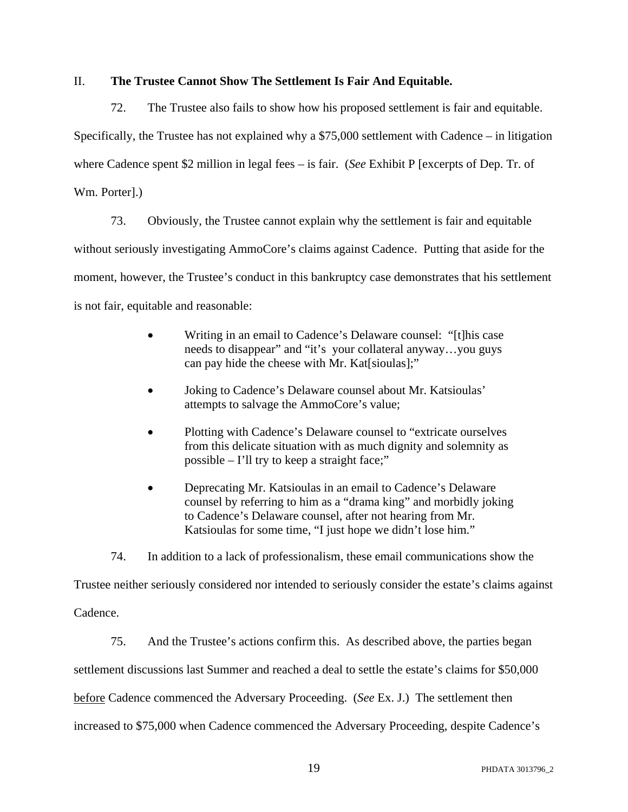### II. **The Trustee Cannot Show The Settlement Is Fair And Equitable.**

72. The Trustee also fails to show how his proposed settlement is fair and equitable.

Specifically, the Trustee has not explained why a \$75,000 settlement with Cadence – in litigation

where Cadence spent \$2 million in legal fees – is fair. (*See* Exhibit P [excerpts of Dep. Tr. of

Wm. Porter].)

73. Obviously, the Trustee cannot explain why the settlement is fair and equitable

without seriously investigating AmmoCore's claims against Cadence. Putting that aside for the

moment, however, the Trustee's conduct in this bankruptcy case demonstrates that his settlement

is not fair, equitable and reasonable:

- Writing in an email to Cadence's Delaware counsel: "[t]his case needs to disappear" and "it's your collateral anyway…you guys can pay hide the cheese with Mr. Kat[sioulas];"
- Joking to Cadence's Delaware counsel about Mr. Katsioulas' attempts to salvage the AmmoCore's value;
- Plotting with Cadence's Delaware counsel to "extricate ourselves" from this delicate situation with as much dignity and solemnity as possible – I'll try to keep a straight face;"
- Deprecating Mr. Katsioulas in an email to Cadence's Delaware counsel by referring to him as a "drama king" and morbidly joking to Cadence's Delaware counsel, after not hearing from Mr. Katsioulas for some time, "I just hope we didn't lose him."

74. In addition to a lack of professionalism, these email communications show the

Trustee neither seriously considered nor intended to seriously consider the estate's claims against Cadence.

75. And the Trustee's actions confirm this. As described above, the parties began settlement discussions last Summer and reached a deal to settle the estate's claims for \$50,000 before Cadence commenced the Adversary Proceeding. (*See* Ex. J.) The settlement then increased to \$75,000 when Cadence commenced the Adversary Proceeding, despite Cadence's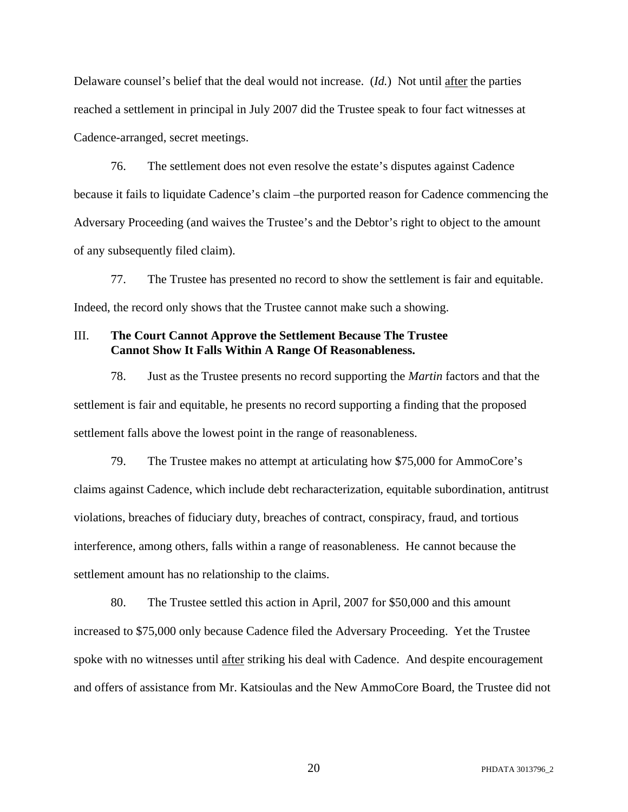Delaware counsel's belief that the deal would not increase. (*Id.*) Not until after the parties reached a settlement in principal in July 2007 did the Trustee speak to four fact witnesses at Cadence-arranged, secret meetings.

76. The settlement does not even resolve the estate's disputes against Cadence because it fails to liquidate Cadence's claim –the purported reason for Cadence commencing the Adversary Proceeding (and waives the Trustee's and the Debtor's right to object to the amount of any subsequently filed claim).

77. The Trustee has presented no record to show the settlement is fair and equitable. Indeed, the record only shows that the Trustee cannot make such a showing.

#### III. **The Court Cannot Approve the Settlement Because The Trustee Cannot Show It Falls Within A Range Of Reasonableness.**

78. Just as the Trustee presents no record supporting the *Martin* factors and that the settlement is fair and equitable, he presents no record supporting a finding that the proposed settlement falls above the lowest point in the range of reasonableness.

79. The Trustee makes no attempt at articulating how \$75,000 for AmmoCore's claims against Cadence, which include debt recharacterization, equitable subordination, antitrust violations, breaches of fiduciary duty, breaches of contract, conspiracy, fraud, and tortious interference, among others, falls within a range of reasonableness. He cannot because the settlement amount has no relationship to the claims.

80. The Trustee settled this action in April, 2007 for \$50,000 and this amount increased to \$75,000 only because Cadence filed the Adversary Proceeding. Yet the Trustee spoke with no witnesses until after striking his deal with Cadence. And despite encouragement and offers of assistance from Mr. Katsioulas and the New AmmoCore Board, the Trustee did not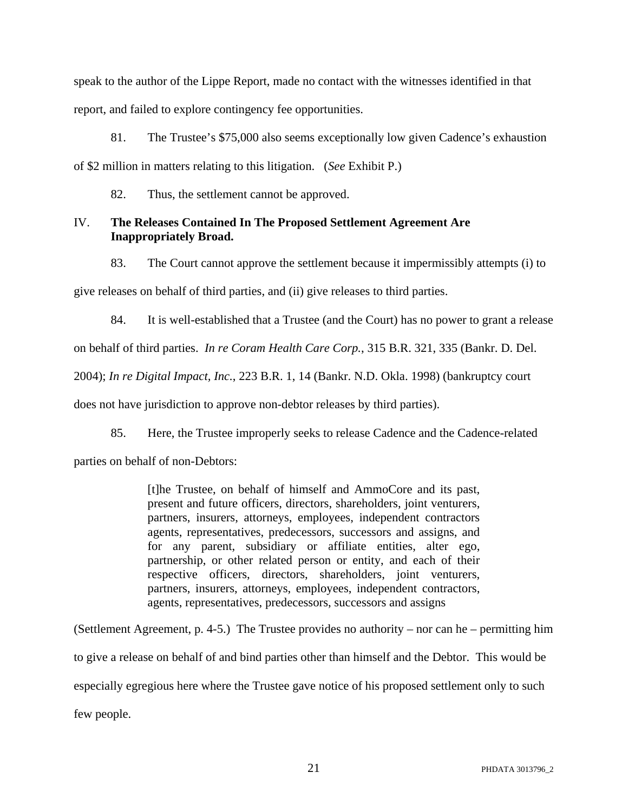speak to the author of the Lippe Report, made no contact with the witnesses identified in that report, and failed to explore contingency fee opportunities.

81. The Trustee's \$75,000 also seems exceptionally low given Cadence's exhaustion of \$2 million in matters relating to this litigation. (*See* Exhibit P.)

82. Thus, the settlement cannot be approved.

# IV. **The Releases Contained In The Proposed Settlement Agreement Are Inappropriately Broad.**

83. The Court cannot approve the settlement because it impermissibly attempts (i) to

give releases on behalf of third parties, and (ii) give releases to third parties.

84. It is well-established that a Trustee (and the Court) has no power to grant a release

on behalf of third parties. *In re Coram Health Care Corp.*, 315 B.R. 321, 335 (Bankr. D. Del.

2004); *In re Digital Impact, Inc.*, 223 B.R. 1, 14 (Bankr. N.D. Okla. 1998) (bankruptcy court

does not have jurisdiction to approve non-debtor releases by third parties).

85. Here, the Trustee improperly seeks to release Cadence and the Cadence-related

parties on behalf of non-Debtors:

[t]he Trustee, on behalf of himself and AmmoCore and its past, present and future officers, directors, shareholders, joint venturers, partners, insurers, attorneys, employees, independent contractors agents, representatives, predecessors, successors and assigns, and for any parent, subsidiary or affiliate entities, alter ego, partnership, or other related person or entity, and each of their respective officers, directors, shareholders, joint venturers, partners, insurers, attorneys, employees, independent contractors, agents, representatives, predecessors, successors and assigns

(Settlement Agreement, p. 4-5.) The Trustee provides no authority – nor can he – permitting him to give a release on behalf of and bind parties other than himself and the Debtor. This would be especially egregious here where the Trustee gave notice of his proposed settlement only to such few people.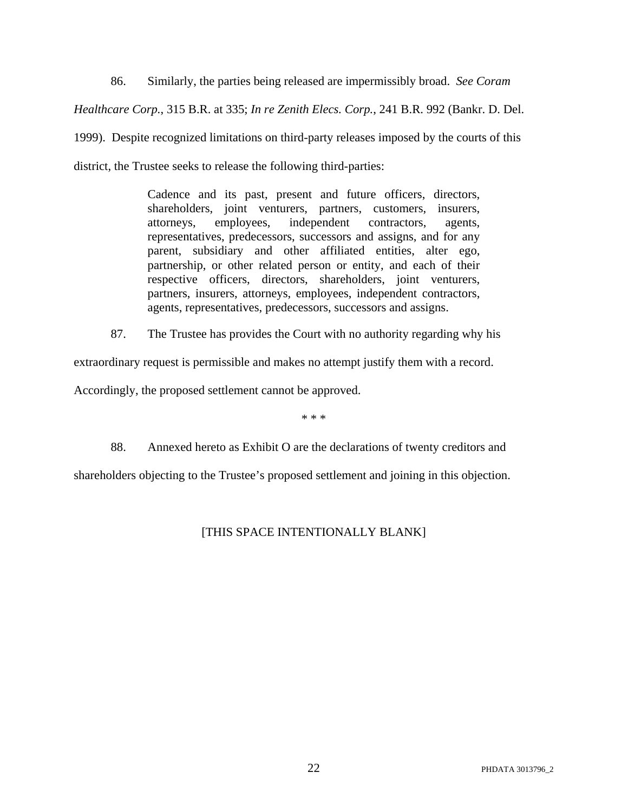86. Similarly, the parties being released are impermissibly broad. *See Coram Healthcare Corp.*, 315 B.R. at 335; *In re Zenith Elecs. Corp.*, 241 B.R. 992 (Bankr. D. Del. 1999). Despite recognized limitations on third-party releases imposed by the courts of this district, the Trustee seeks to release the following third-parties:

> Cadence and its past, present and future officers, directors, shareholders, joint venturers, partners, customers, insurers, attorneys, employees, independent contractors, agents, representatives, predecessors, successors and assigns, and for any parent, subsidiary and other affiliated entities, alter ego, partnership, or other related person or entity, and each of their respective officers, directors, shareholders, joint venturers, partners, insurers, attorneys, employees, independent contractors, agents, representatives, predecessors, successors and assigns.

87. The Trustee has provides the Court with no authority regarding why his

extraordinary request is permissible and makes no attempt justify them with a record.

Accordingly, the proposed settlement cannot be approved.

\* \* \*

88. Annexed hereto as Exhibit O are the declarations of twenty creditors and shareholders objecting to the Trustee's proposed settlement and joining in this objection.

# [THIS SPACE INTENTIONALLY BLANK]